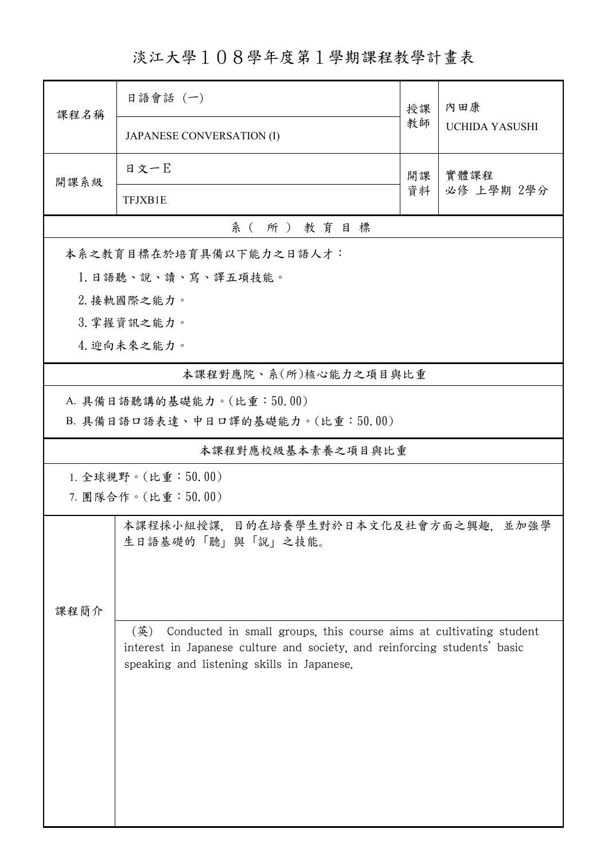淡江大學108學年度第1學期課程教學計畫表

|                                     | 日語會話 (一)                                                                  | 授課 | 內田康<br><b>UCHIDA YASUSHI</b> |  |  |  |  |  |
|-------------------------------------|---------------------------------------------------------------------------|----|------------------------------|--|--|--|--|--|
| 課程名稱                                | <b>JAPANESE CONVERSATION (I)</b>                                          | 教師 |                              |  |  |  |  |  |
| 開課系級                                | 日文一日                                                                      | 開課 | 實體課程                         |  |  |  |  |  |
|                                     | <b>TFJXB1E</b>                                                            | 資料 | 必修 上學期 2學分                   |  |  |  |  |  |
| 系(所)教育目標                            |                                                                           |    |                              |  |  |  |  |  |
|                                     | 本系之教育目標在於培育具備以下能力之日語人才:                                                   |    |                              |  |  |  |  |  |
| 1. 日語聽、說、讀、寫、譯五項技能。                 |                                                                           |    |                              |  |  |  |  |  |
| 2. 接軌國際之能力。                         |                                                                           |    |                              |  |  |  |  |  |
| 3. 掌握資訊之能力。                         |                                                                           |    |                              |  |  |  |  |  |
| 4. 迎向未來之能力。                         |                                                                           |    |                              |  |  |  |  |  |
| 本課程對應院、系(所)核心能力之項目與比重               |                                                                           |    |                              |  |  |  |  |  |
| A. 具備日語聽講的基礎能力。(比重:50.00)           |                                                                           |    |                              |  |  |  |  |  |
| B. 具備日語口語表達、中日口譯的基礎能力。(比重:50.00)    |                                                                           |    |                              |  |  |  |  |  |
|                                     | 本課程對應校級基本素養之項目與比重                                                         |    |                              |  |  |  |  |  |
| 1. 全球視野。(比重:50.00)                  |                                                                           |    |                              |  |  |  |  |  |
| 7. 團隊合作。(比重:50.00)                  |                                                                           |    |                              |  |  |  |  |  |
| 本課程採小組授課,目的在培養學生對於日本文化及社會方面之興趣,並加強學 |                                                                           |    |                              |  |  |  |  |  |
|                                     | 生日語基礎的「聽」與「說」之技能。                                                         |    |                              |  |  |  |  |  |
|                                     |                                                                           |    |                              |  |  |  |  |  |
|                                     |                                                                           |    |                              |  |  |  |  |  |
| 課程簡介                                | (英)<br>Conducted in small groups, this course aims at cultivating student |    |                              |  |  |  |  |  |
|                                     | interest in Japanese culture and society, and reinforcing students' basic |    |                              |  |  |  |  |  |
|                                     | speaking and listening skills in Japanese.                                |    |                              |  |  |  |  |  |
|                                     |                                                                           |    |                              |  |  |  |  |  |
|                                     |                                                                           |    |                              |  |  |  |  |  |
|                                     |                                                                           |    |                              |  |  |  |  |  |
|                                     |                                                                           |    |                              |  |  |  |  |  |
|                                     |                                                                           |    |                              |  |  |  |  |  |
|                                     |                                                                           |    |                              |  |  |  |  |  |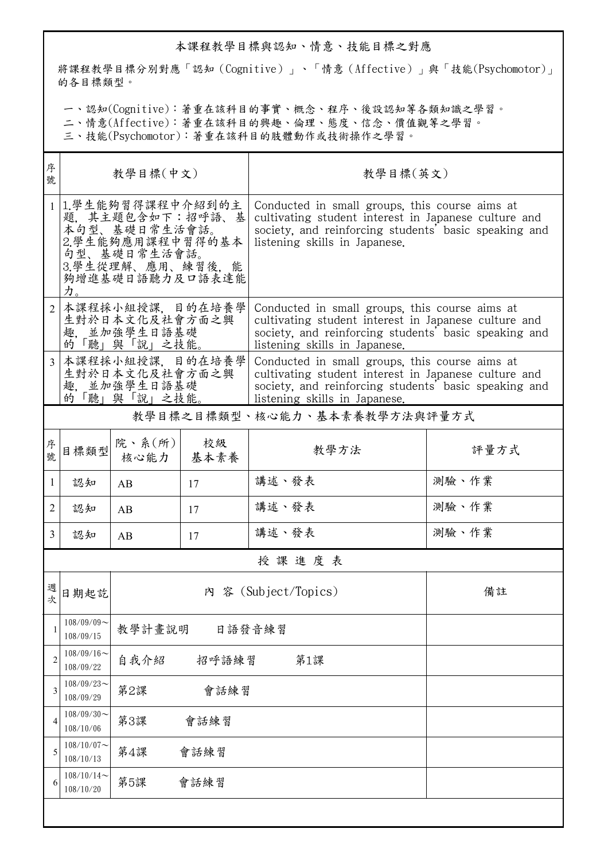## 本課程教學目標與認知、情意、技能目標之對應

將課程教學目標分別對應「認知(Cognitive)」、「情意(Affective)」與「技能(Psychomotor)」 的各目標類型。

一、認知(Cognitive):著重在該科目的事實、概念、程序、後設認知等各類知識之學習。

二、情意(Affective):著重在該科目的興趣、倫理、態度、信念、價值觀等之學習。

三、技能(Psychomotor):著重在該科目的肢體動作或技術操作之學習。

| 序<br>號         | 教學目標(中文)                                                                                                                               |                      |              | 教學目標(英文)                                                                                                                                                                                         |       |  |  |  |  |
|----------------|----------------------------------------------------------------------------------------------------------------------------------------|----------------------|--------------|--------------------------------------------------------------------------------------------------------------------------------------------------------------------------------------------------|-------|--|--|--|--|
| 1 <sup>1</sup> | 1.學生能夠習得課程中介紹到的主<br>題, 其主題包含如下:招呼語、基<br>本句型、基礎日常生活會話。<br>2.學生能夠應用課程中習得的基本<br>句型、基礎日常生活會話。<br>3.學生從理解、應用、練習後,能<br>夠增進基礎日語聽力及口語表達能<br>力。 |                      |              | Conducted in small groups, this course aims at<br>cultivating student interest in Japanese culture and<br>society, and reinforcing students' basic speaking and<br>listening skills in Japanese. |       |  |  |  |  |
| $\overline{2}$ | 本課程採小組授課、目的在培養學<br>生對於日本文化及社會方面之興<br>趣. 並加強學生日語基礎<br>的「聽」與「說」之技能。                                                                      |                      |              | Conducted in small groups, this course aims at<br>cultivating student interest in Japanese culture and<br>society, and reinforcing students' basic speaking and<br>listening skills in Japanese. |       |  |  |  |  |
| 3              | 本課程採小組授課, 目的在培養學<br>生對於日本文化及社會方面之興<br>並加強學生日語基礎<br>趣.<br>的「聽」與「說」之技能。                                                                  |                      |              | Conducted in small groups, this course aims at<br>cultivating student interest in Japanese culture and<br>society, and reinforcing students' basic speaking and<br>listening skills in Japanese. |       |  |  |  |  |
|                |                                                                                                                                        |                      |              | 教學目標之目標類型、核心能力、基本素養教學方法與評量方式                                                                                                                                                                     |       |  |  |  |  |
| 序號             | 目標類型                                                                                                                                   | 院、系(所)<br>核心能力       | 校級<br>│ 基本素養 | 教學方法                                                                                                                                                                                             | 評量方式  |  |  |  |  |
| $\mathbf{1}$   | 認知                                                                                                                                     | AB                   | 17           | 講述、發表                                                                                                                                                                                            | 測驗、作業 |  |  |  |  |
| $\overline{2}$ | 認知                                                                                                                                     | AB                   | 17           | 講述、發表                                                                                                                                                                                            | 測驗、作業 |  |  |  |  |
| $\mathfrak{Z}$ | 認知                                                                                                                                     | AB                   | 17           | 講述、發表                                                                                                                                                                                            | 測驗、作業 |  |  |  |  |
|                | 授課進度表                                                                                                                                  |                      |              |                                                                                                                                                                                                  |       |  |  |  |  |
| 週次             | 日期起訖                                                                                                                                   |                      |              | 內 容 (Subject/Topics)                                                                                                                                                                             | 備註    |  |  |  |  |
| 1              | $108/09/09$ ~<br>108/09/15                                                                                                             | 教學計畫說明               |              |                                                                                                                                                                                                  |       |  |  |  |  |
| 2              | $108/09/16$ ~<br>108/09/22                                                                                                             | 自我介紹<br>招呼語練習<br>第1課 |              |                                                                                                                                                                                                  |       |  |  |  |  |
| 3              | $108/09/23$ ~<br>108/09/29                                                                                                             | 第2課<br>會話練習          |              |                                                                                                                                                                                                  |       |  |  |  |  |
| 4              | $108/09/30$ ~<br>108/10/06                                                                                                             | 第3課<br>會話練習          |              |                                                                                                                                                                                                  |       |  |  |  |  |
| 5              | $108/10/07$ ~<br>108/10/13                                                                                                             | 第4課<br>會話練習          |              |                                                                                                                                                                                                  |       |  |  |  |  |
| 6              | $108/10/14$ ~<br>108/10/20                                                                                                             | 第5課                  | 會話練習         |                                                                                                                                                                                                  |       |  |  |  |  |
|                |                                                                                                                                        |                      |              |                                                                                                                                                                                                  |       |  |  |  |  |